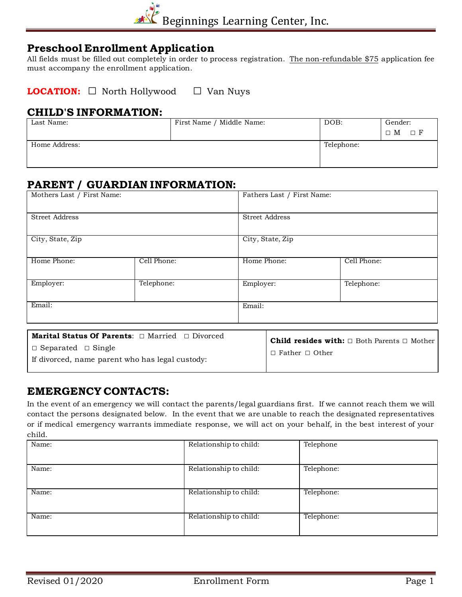

## **Preschool Enrollment Application**

All fields must be filled out completely in order to process registration. The non-refundable \$75 application fee must accompany the enrollment application.

**LOCATION: □** North Hollywood **□** Van Nuys

#### **CHILD'S INFORMATION:**

| Last Name:    | First Name / Middle Name: | DOB:       | Gender:<br>$\Box$ M $\Box$ F |
|---------------|---------------------------|------------|------------------------------|
| Home Address: |                           | Telephone: |                              |

# **PARENT / GUARDIAN INFORMATION:**

| Mothers Last / First Name: |             | Fathers Last / First Name: |             |
|----------------------------|-------------|----------------------------|-------------|
| <b>Street Address</b>      |             | <b>Street Address</b>      |             |
| City, State, Zip           |             | City, State, Zip           |             |
| Home Phone:                | Cell Phone: | Home Phone:                | Cell Phone: |
| Employer:                  | Telephone:  | Employer:                  | Telephone:  |
| Email:                     |             | Email:                     |             |

| <b>Marital Status Of Parents:</b> $\Box$ Married $\Box$ Divorced                  | <b>Child resides with:</b> $\Box$ Both Parents $\Box$ Mother |
|-----------------------------------------------------------------------------------|--------------------------------------------------------------|
| $\Box$ Separated $\Box$ Single<br>If divorced, name parent who has legal custody: | $\perp$ $\Box$ Father $\Box$ Other                           |

## **EMERGENCY CONTACTS:**

In the event of an emergency we will contact the parents/legal guardians first. If we cannot reach them we will contact the persons designated below. In the event that we are unable to reach the designated representatives or if medical emergency warrants immediate response, we will act on your behalf, in the best interest of your child.

| Name: | Relationship to child: | Telephone  |
|-------|------------------------|------------|
| Name: | Relationship to child: | Telephone: |
| Name: | Relationship to child: | Telephone: |
| Name: | Relationship to child: | Telephone: |